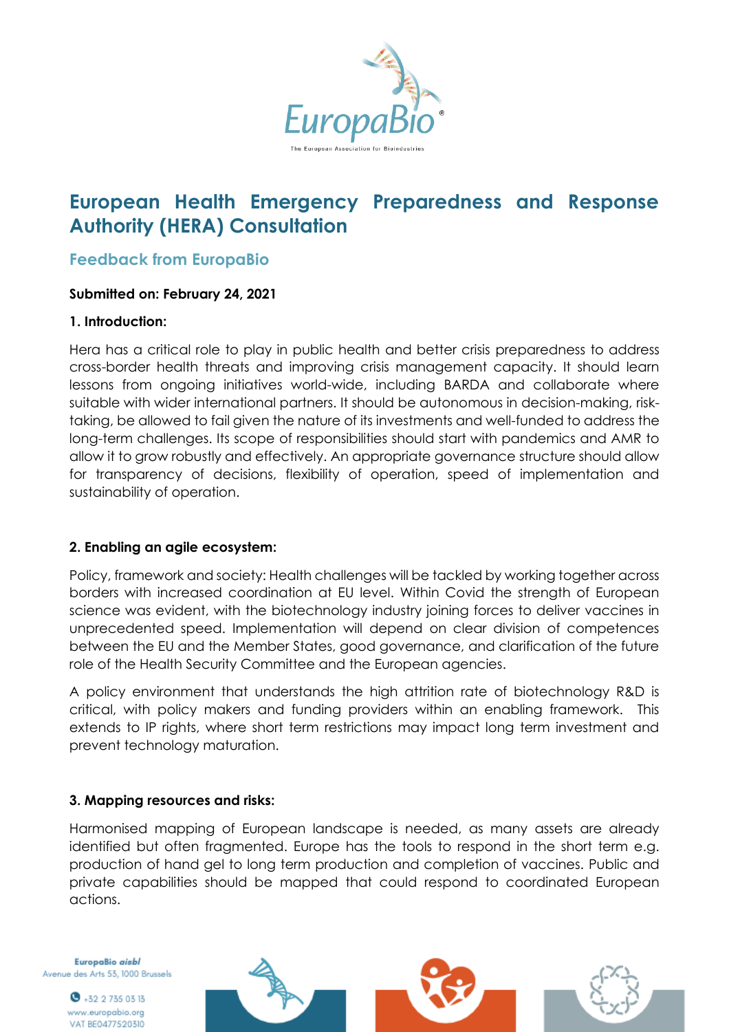

# **European Health Emergency Preparedness and Response Authority (HERA) Consultation**

# **Feedback from EuropaBio**

#### **Submitted on: February 24, 2021**

#### **1. Introduction:**

Hera has a critical role to play in public health and better crisis preparedness to address cross-border health threats and improving crisis management capacity. It should learn lessons from ongoing initiatives world-wide, including BARDA and collaborate where suitable with wider international partners. It should be autonomous in decision-making, risktaking, be allowed to fail given the nature of its investments and well-funded to address the long-term challenges. Its scope of responsibilities should start with pandemics and AMR to allow it to grow robustly and effectively. An appropriate governance structure should allow for transparency of decisions, flexibility of operation, speed of implementation and sustainability of operation.

#### **2. Enabling an agile ecosystem:**

Policy, framework and society: Health challenges will be tackled by working together across borders with increased coordination at EU level. Within Covid the strength of European science was evident, with the biotechnology industry joining forces to deliver vaccines in unprecedented speed. Implementation will depend on clear division of competences between the EU and the Member States, good governance, and clarification of the future role of the Health Security Committee and the European agencies.

A policy environment that understands the high attrition rate of biotechnology R&D is critical, with policy makers and funding providers within an enabling framework. This extends to IP rights, where short term restrictions may impact long term investment and prevent technology maturation.

#### **3. Mapping resources and risks:**

Harmonised mapping of European landscape is needed, as many assets are already identified but often fragmented. Europe has the tools to respond in the short term e.g. production of hand gel to long term production and completion of vaccines. Public and private capabilities should be mapped that could respond to coordinated European actions.

EuropaBio aisbl Avenue des Arts 53, 1000 Brussels